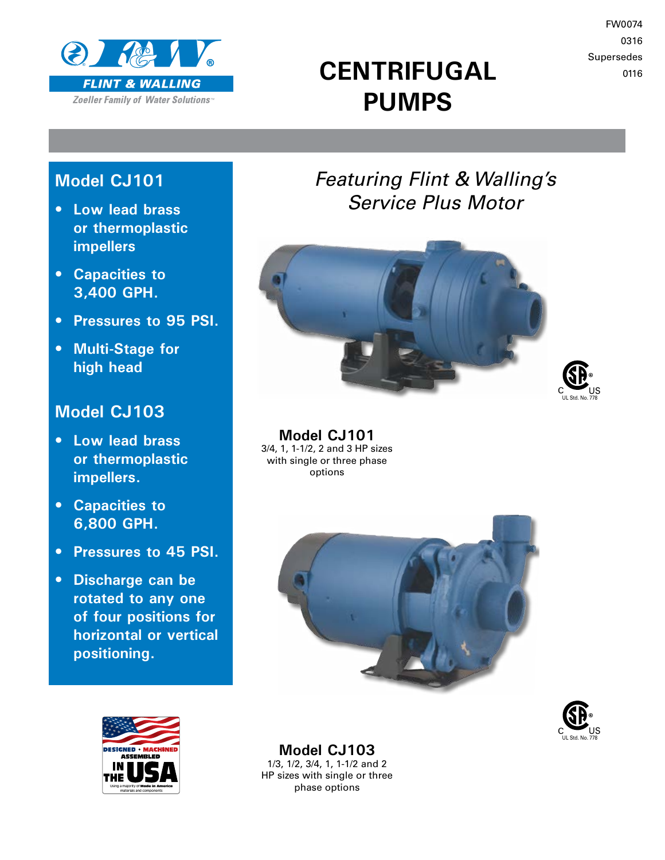

# **CENTRIFUGAL PUMPS**

FW0074 0316 Supersedes 0116

### **Model CJ101**

- **Low lead brass or thermoplastic impellers**
- **Capacities to 3,400 GPH.**
- **Pressures to 95 PSI.**
- **Multi-Stage for high head**

### **Model CJ103**

- **Low lead brass or thermoplastic impellers.**
- **Capacities to 6,800 GPH.**
- **Pressures to 45 PSI.**
- **Discharge can be rotated to any one of four positions for horizontal or vertical positioning.**







**Model CJ101** 3/4, 1, 1-1/2, 2 and 3 HP sizes with single or three phase options







**Model CJ103** 1/3, 1/2, 3/4, 1, 1-1/2 and 2 HP sizes with single or three phase options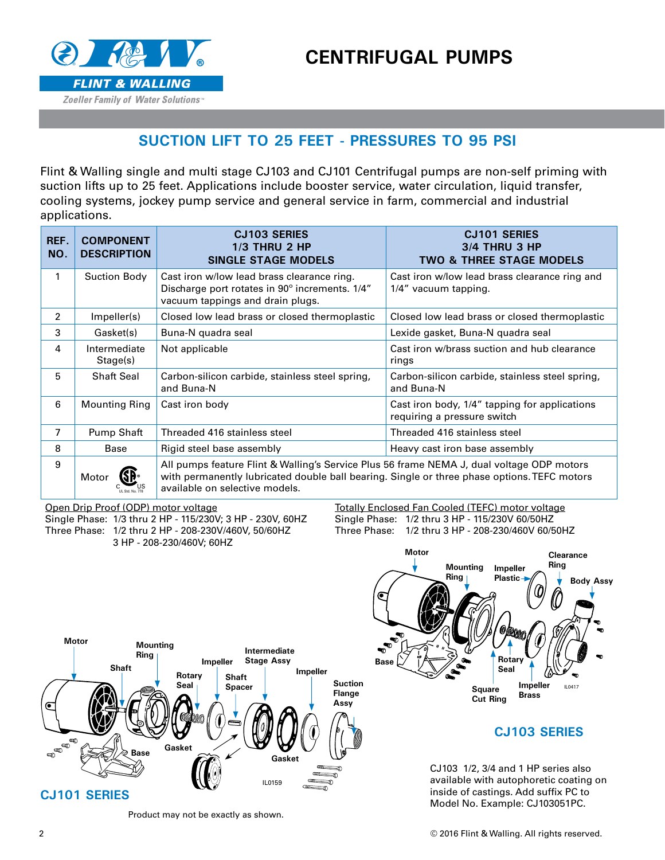



#### **SUCTION LIFT TO 25 FEET - PRESSURES TO 95 PSI**

Flint & Walling single and multi stage CJ103 and CJ101 Centrifugal pumps are non-self priming with suction lifts up to 25 feet. Applications include booster service, water circulation, liquid transfer, cooling systems, jockey pump service and general service in farm, commercial and industrial applications.

| REF.<br>NO.    | <b>COMPONENT</b><br><b>DESCRIPTION</b> | <b>CJ103 SERIES</b><br><b>1/3 THRU 2 HP</b><br><b>SINGLE STAGE MODELS</b>                                                                                                                                                  | <b>CJ101 SERIES</b><br>3/4 THRU 3 HP<br><b>TWO &amp; THREE STAGE MODELS</b>  |  |  |  |  |  |  |  |
|----------------|----------------------------------------|----------------------------------------------------------------------------------------------------------------------------------------------------------------------------------------------------------------------------|------------------------------------------------------------------------------|--|--|--|--|--|--|--|
| 1              | <b>Suction Body</b>                    | Cast iron w/low lead brass clearance ring.<br>Discharge port rotates in 90° increments. 1/4"<br>vacuum tappings and drain plugs.                                                                                           | Cast iron w/low lead brass clearance ring and<br>1/4" vacuum tapping.        |  |  |  |  |  |  |  |
| $\mathfrak{p}$ | Impeller(s)                            | Closed low lead brass or closed thermoplastic                                                                                                                                                                              | Closed low lead brass or closed thermoplastic                                |  |  |  |  |  |  |  |
| 3              | Gasket(s)                              | Buna-N guadra seal                                                                                                                                                                                                         | Lexide gasket, Buna-N quadra seal                                            |  |  |  |  |  |  |  |
| 4              | Intermediate<br>Stage(s)               | Not applicable                                                                                                                                                                                                             | Cast iron w/brass suction and hub clearance<br>rings                         |  |  |  |  |  |  |  |
| 5              | <b>Shaft Seal</b>                      | Carbon-silicon carbide, stainless steel spring,<br>and Buna-N                                                                                                                                                              | Carbon-silicon carbide, stainless steel spring,<br>and Buna-N                |  |  |  |  |  |  |  |
| 6              | <b>Mounting Ring</b>                   | Cast iron body                                                                                                                                                                                                             | Cast iron body, 1/4" tapping for applications<br>requiring a pressure switch |  |  |  |  |  |  |  |
| 7              | Pump Shaft                             | Threaded 416 stainless steel                                                                                                                                                                                               | Threaded 416 stainless steel                                                 |  |  |  |  |  |  |  |
| 8              | Base                                   | Rigid steel base assembly                                                                                                                                                                                                  | Heavy cast iron base assembly                                                |  |  |  |  |  |  |  |
| 9              | Motor                                  | All pumps feature Flint & Walling's Service Plus 56 frame NEMA J, dual voltage ODP motors<br>with permanently lubricated double ball bearing. Single or three phase options. TEFC motors<br>available on selective models. |                                                                              |  |  |  |  |  |  |  |

Open Drip Proof (ODP) motor voltage

Single Phase: 1/3 thru 2 HP - 115/230V; 3 HP - 230V, 60HZ Three Phase: 1/2 thru 2 HP - 208-230V/460V, 50/60HZ 3 HP - 208-230/460V; 60HZ

Totally Enclosed Fan Cooled (TEFC) motor voltage Single Phase: 1/2 thru 3 HP - 115/230V 60/50HZ Three Phase: 1/2 thru 3 HP - 208-230/460V 60/50HZ





#### **CJ103 SERIES**

CJ103 1/2, 3/4 and 1 HP series also available with autophoretic coating on inside of castings. Add suffix PC to Model No. Example: CJ103051PC.

Product may not be exactly as shown.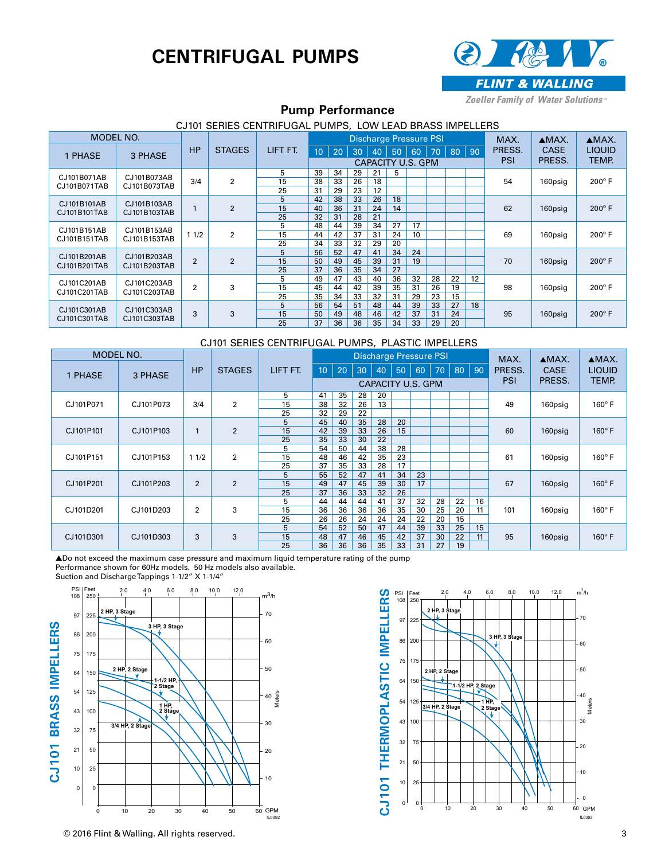## **CENTRIFUGAL PUMPS**



Zoeller Family of Water Solutions<sup>®</sup>

#### **Pump Performance**

| CJ101 SERIES CENTRIFUGAL PUMPS, LOW LEAD BRASS IMPELLERS |                                            |                |                |          |                 |    |                 |    |    |                               |    |            |        |        |             |               |
|----------------------------------------------------------|--------------------------------------------|----------------|----------------|----------|-----------------|----|-----------------|----|----|-------------------------------|----|------------|--------|--------|-------------|---------------|
| MODEL NO.                                                |                                            |                |                |          |                 |    |                 |    |    | <b>Discharge Pressure PSI</b> |    |            |        | MAX.   | $AMAX$ .    | $AMAX$ .      |
| 1 PHASE                                                  | 3 PHASE                                    | <b>HP</b>      | <b>STAGES</b>  | LIFT FT. | 10 <sup>°</sup> | 20 | 30 <sup>1</sup> | 40 | 50 | 60                            |    | 70 80 90   |        | PRESS. | <b>CASE</b> | <b>LIQUID</b> |
|                                                          |                                            |                |                |          |                 |    |                 |    |    | CAPACITY U.S. GPM             |    | <b>PSI</b> | PRESS. | TEMP.  |             |               |
| CJ101B071AB                                              | CJ101B073AB                                |                |                | 5        | 39              | 34 | 29              | 21 | 5  |                               |    |            |        |        |             | $200^\circ$ F |
| CJ101B071TAB                                             | CJ101B073TAB                               | 3/4            | $\overline{2}$ | 15       | 38              | 33 | 26              | 18 |    |                               |    |            |        | 54     | 160psig     |               |
|                                                          |                                            |                |                | 25       | 31              | 29 | 23              | 12 |    |                               |    |            |        |        |             |               |
|                                                          | CJ101B101AB<br>CJ101B103AB<br>CJ101B103TAB |                |                | 5        | 42              | 38 | 33              | 26 | 18 |                               |    |            |        |        | 160psig     | $200^\circ$ F |
| CJ101B101TAB                                             |                                            |                | $\overline{2}$ | 15       | 40              | 36 | 31              | 24 | 14 |                               |    |            |        | 62     |             |               |
|                                                          |                                            |                |                | 25       | 32              | 31 | 28              | 21 |    |                               |    |            |        |        |             |               |
| CJ101B151AB                                              | CJ101B153AB                                |                | $\overline{2}$ | 5        | 48              | 44 | 39              | 34 | 27 | 17                            |    |            |        | 69     | 160psig     | $200^\circ$ F |
| CJ101B151TAB                                             | CJ101B153TAB                               | 11/2           |                | 15       | 44              | 42 | 37              | 31 | 24 | 10                            |    |            |        |        |             |               |
|                                                          |                                            |                |                | 25       | 34              | 33 | 32              | 29 | 20 |                               |    |            |        |        |             |               |
| CJ101B201AB                                              | CJ101B203AB                                |                |                | 5        | 56              | 52 | 47              | 41 | 34 | 24                            |    |            |        |        |             | $200^\circ$ F |
| CJ101B201TAB                                             | CJ101B203TAB                               | $\overline{2}$ | 2              | 15       | 50              | 49 | 45              | 39 | 31 | 19                            |    |            |        | 70     | 160psig     |               |
|                                                          |                                            |                |                | 25       | 37              | 36 | 35              | 34 | 27 |                               |    |            |        |        |             |               |
| CJ101C201AB                                              | CJ101C203AB                                |                |                | 5        | 49              | 47 | 43              | 40 | 36 | 32                            | 28 | 22         | 12     |        |             |               |
| CJ101C201TAB                                             | CJ101C203TAB                               | $\overline{2}$ | 3              | 15       | 45              | 44 | 42              | 39 | 35 | 31                            | 26 | 19         |        | 98     | 160psig     | $200^\circ$ F |
|                                                          |                                            |                |                | 25       | 35              | 34 | 33              | 32 | 31 | 29                            | 23 | 15         |        |        |             |               |
| CJ101C301AB                                              | CJ101C303AB                                |                |                | 5        | 56              | 54 | 51              | 48 | 44 | 39                            | 33 | 27         | 18     |        | 160psig     | $200^\circ$ F |
| CJ101C301TAB                                             | CJ101C303TAB                               | 3              | 3              | 15       | 50              | 49 | 48              | 46 | 42 | 37                            | 31 | 24         |        | 95     |             |               |
|                                                          |                                            |                |                | 25       | 37              | 36 | 36              | 35 | 34 | 33                            | 29 | 20         |        |        |             |               |

#### CJ101 SERIES CENTRIFUGAL PUMPS, PLASTIC IMPELLERS

| MODEL NO. |           |                |                |          |                 |                          |                 |    | <b>Discharge Pressure PSI</b> |    |                 | MAX. | AMAX. | AMAX.  |             |               |
|-----------|-----------|----------------|----------------|----------|-----------------|--------------------------|-----------------|----|-------------------------------|----|-----------------|------|-------|--------|-------------|---------------|
| 1 PHASE   | 3 PHASE   | <b>HP</b>      | <b>STAGES</b>  | LIFT FT. | 10 <sup>°</sup> | 20                       | 30 <sup>°</sup> | 40 | 50                            | 60 | 70 <sup>1</sup> | 80   | 90    | PRESS. | <b>CASE</b> | <b>LIQUID</b> |
|           |           |                |                |          |                 | <b>CAPACITY U.S. GPM</b> |                 |    |                               |    |                 |      |       |        | PRESS.      | TEMP.         |
|           |           |                |                | 5        | 41              | 35                       | 28              | 20 |                               |    |                 |      |       |        | 160psig     | $160^\circ$ F |
| CJ101P071 | CJ101P073 | 3/4            | 2              | 15       | 38              | 32                       | 26              | 13 |                               |    |                 |      |       | 49     |             |               |
|           |           |                |                | 25       | 32              | 29                       | 22              |    |                               |    |                 |      |       |        |             |               |
|           |           |                | $\overline{2}$ | 5        | 45              | 40                       | 35              | 28 | 20                            |    |                 |      |       |        | 160psig     | $160^\circ$ F |
| CJ101P101 | CJ101P103 |                |                | 15       | 42              | 39                       | 33              | 26 | 15                            |    |                 |      |       | 60     |             |               |
|           |           |                |                | 25       | 35              | 33                       | 30              | 22 |                               |    |                 |      |       |        |             |               |
|           | CJ101P153 |                | $\overline{2}$ | 5        | 54              | 50                       | 44              | 38 | 28                            |    |                 |      |       | 61     | 160psig     | $160^\circ$ F |
| CJ101P151 |           | 11/2           |                | 15       | 48              | 46                       | 42              | 35 | 23                            |    |                 |      |       |        |             |               |
|           |           |                |                | 25       | 37              | 35                       | 33              | 28 | 17                            |    |                 |      |       |        |             |               |
|           |           |                | $\overline{2}$ | 5        | 55              | 52                       | 47              | 41 | 34                            | 23 |                 |      |       | 67     | 160psig     |               |
| CJ101P201 | CJ101P203 | $\overline{2}$ |                | 15       | 49              | 47                       | 45              | 39 | 30                            | 17 |                 |      |       |        |             | $160^\circ$ F |
|           |           |                |                | 25       | 37              | 36                       | 33              | 32 | 26                            |    |                 |      |       |        |             |               |
|           |           |                |                | 5        | 44              | 44                       | 44              | 41 | 37                            | 32 | 28              | 22   | 16    |        |             |               |
| CJ101D201 | CJ101D203 | $\overline{2}$ | 3              | 15       | 36              | 36                       | 36              | 36 | 35                            | 30 | 25              | 20   | 11    | 101    | 160psig     | $160^\circ$ F |
|           |           |                |                | 25       | 26              | 26                       | 24              | 24 | 24                            | 22 | 20              | 15   |       |        |             |               |
|           |           |                | 3              | 5        | 54              | 52                       | 50              | 47 | 44                            | 39 | 33              | 25   | 15    |        |             | $160^\circ$ F |
| CJ101D301 | CJ101D303 | 3              |                | 15       | 48              | 47                       | 46              | 45 | 42                            | 37 | 30              | 22   | 11    | 95     | 160psig     |               |
|           |           |                |                | 25       | 36              | 36                       | 36              | 35 | 33                            | 31 | 27              | 19   |       |        |             |               |

▲Do not exceed the maximum case pressure and maximum liquid temperature rating of the pump

Performance shown for 60Hz models. 50 Hz models also available.

Suction and Discharge Tappings 1-1/2" X 1-1/4"